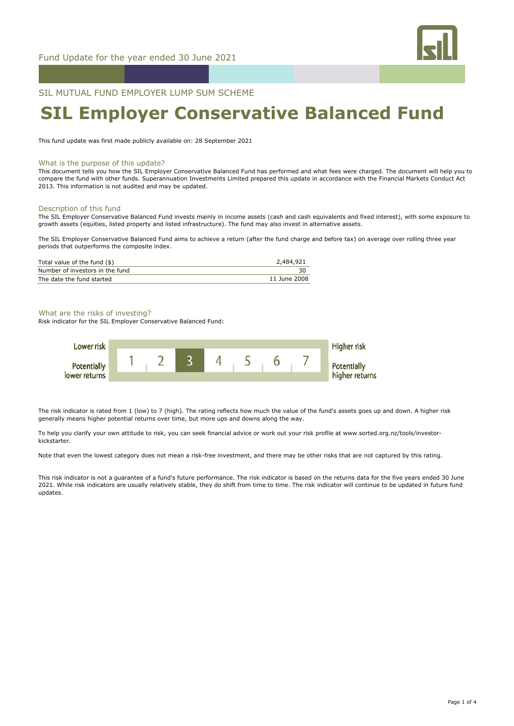

SIL MUTUAL FUND EMPLOYER LUMP SUM SCHEME

# **SIL Employer Conservative Balanced Fund**

This fund update was first made publicly available on: 28 September 2021

#### What is the purpose of this update?

This document tells you how the SIL Employer Conservative Balanced Fund has performed and what fees were charged. The document will help you to compare the fund with other funds. Superannuation Investments Limited prepared this update in accordance with the Financial Markets Conduct Act 2013. This information is not audited and may be updated.

#### Description of this fund

The SIL Employer Conservative Balanced Fund invests mainly in income assets (cash and cash equivalents and fixed interest), with some exposure to growth assets (equities, listed property and listed infrastructure). The fund may also invest in alternative assets.

The SIL Employer Conservative Balanced Fund aims to achieve a return (after the fund charge and before tax) on average over rolling three year periods that outperforms the composite index.

| Total value of the fund (\$)    | 2,484,921    |
|---------------------------------|--------------|
| Number of investors in the fund |              |
| The date the fund started       | 11 June 2008 |

#### What are the risks of investing?

Risk indicator for the SIL Employer Conservative Balanced Fund:



The risk indicator is rated from 1 (low) to 7 (high). The rating reflects how much the value of the fund's assets goes up and down. A higher risk generally means higher potential returns over time, but more ups and downs along the way.

To help you clarify your own attitude to risk, you can seek financial advice or work out your risk profile at www.sorted.org.nz/tools/investorkickstarter.

Note that even the lowest category does not mean a risk-free investment, and there may be other risks that are not captured by this rating.

This risk indicator is not a guarantee of a fund's future performance. The risk indicator is based on the returns data for the five years ended 30 June 2021. While risk indicators are usually relatively stable, they do shift from time to time. The risk indicator will continue to be updated in future fund updates.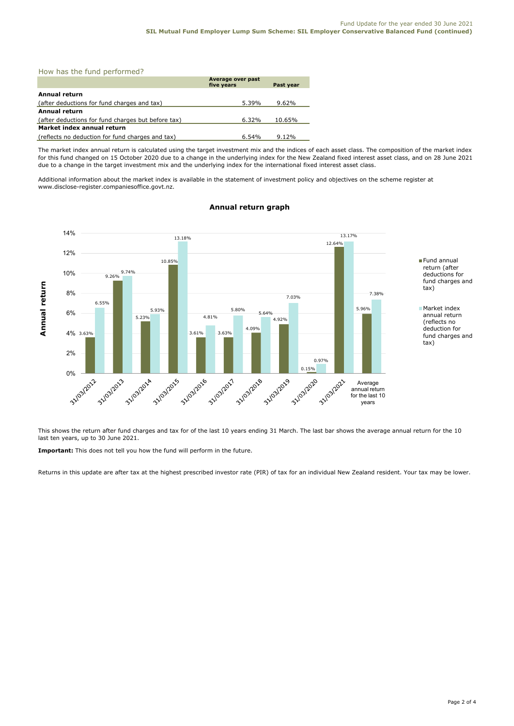How has the fund performed?

|                                                    | Average over past<br>five years | Past year |
|----------------------------------------------------|---------------------------------|-----------|
| Annual return                                      |                                 |           |
| (after deductions for fund charges and tax)        | 5.39%                           | 9.62%     |
| Annual return                                      |                                 |           |
| (after deductions for fund charges but before tax) | 6.32%                           | 10.65%    |
| Market index annual return                         |                                 |           |
| (reflects no deduction for fund charges and tax)   | 6.54%                           | 9.12%     |

The market index annual return is calculated using the target investment mix and the indices of each asset class. The composition of the market index for this fund changed on 15 October 2020 due to a change in the underlying index for the New Zealand fixed interest asset class, and on 28 June 2021 due to a change in the target investment mix and the underlying index for the international fixed interest asset class.

Additional information about the market index is available in the statement of investment policy and objectives on the scheme register at www.disclose-register.companiesoffice.govt.nz.



# **Annual return graph**

This shows the return after fund charges and tax for of the last 10 years ending 31 March. The last bar shows the average annual return for the 10 last ten years, up to 30 June 2021.

**Important:** This does not tell you how the fund will perform in the future.

Returns in this update are after tax at the highest prescribed investor rate (PIR) of tax for an individual New Zealand resident. Your tax may be lower.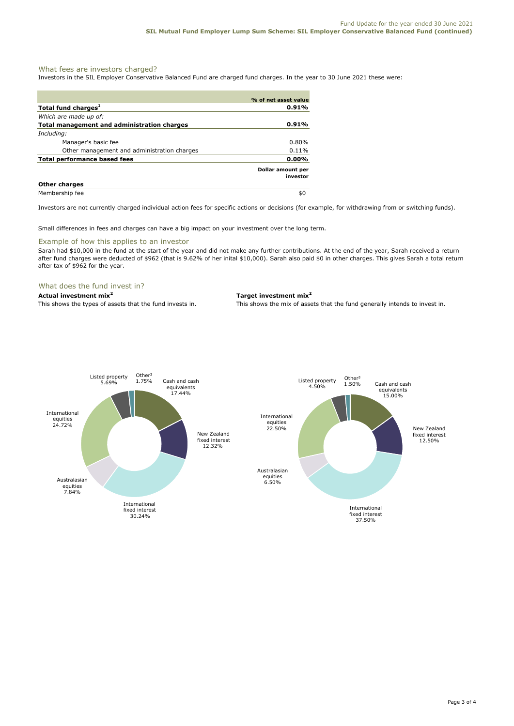## What fees are investors charged?

Investors in the SIL Employer Conservative Balanced Fund are charged fund charges. In the year to 30 June 2021 these were:

|                                             | % of net asset value          |
|---------------------------------------------|-------------------------------|
| Total fund charges <sup>1</sup>             | 0.91%                         |
| Which are made up of:                       |                               |
| Total management and administration charges | $0.91\%$                      |
| Including:                                  |                               |
| Manager's basic fee                         | 0.80%                         |
| Other management and administration charges | 0.11%                         |
| <b>Total performance based fees</b>         | $0.00\%$                      |
|                                             | Dollar amount per<br>investor |
| <b>Other charges</b>                        |                               |
| Membership fee                              | \$0                           |

Investors are not currently charged individual action fees for specific actions or decisions (for example, for withdrawing from or switching funds).

Small differences in fees and charges can have a big impact on your investment over the long term.

#### Example of how this applies to an investor

Sarah had \$10,000 in the fund at the start of the year and did not make any further contributions. At the end of the year, Sarah received a return after fund charges were deducted of \$962 (that is 9.62% of her inital \$10,000). Sarah also paid \$0 in other charges. This gives Sarah a total return after tax of \$962 for the year.

#### What does the fund invest in?

**Actual investment mix<sup>2</sup> Target investment mix<sup>2</sup>**

This shows the types of assets that the fund invests in. This shows the mix of assets that the fund generally intends to invest in.